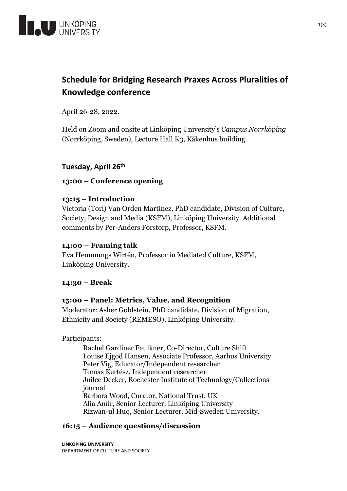

# **Schedule for Bridging Research Praxes Across Pluralities of Knowledge conference**

April 26-28, 2022.

Held on Zoom and onsite at Linköping University's *Campus Norrköping* (Norrköping, Sweden), Lecture Hall K3, Kåkenhus building.

# **Tuesday, April 26th**

# **13:00 – Conference opening**

# **13:15 – Introduction**

Victoria (Tori) Van Orden Martínez, PhD candidate, Division of Culture, Society, Design and Media (KSFM), Linköping University. Additional comments by Per-Anders Forstorp, Professor, KSFM.

# **14:00 – Framing talk**

Eva Hemmungs Wirtén, Professor in Mediated Culture, KSFM, Linköping University.

# **14:30 – Break**

# **15:00 – Panel: Metrics, Value, and Recognition**

Moderator: Asher Goldstein, PhD candidate, Division of Migration, Ethnicity and Society (REMESO), Linköping University.

Participants:

Rachel Gardiner Faulkner, Co-Director, Culture Shift Louise Ejgod Hansen, Associate Professor, Aarhus University Peter Vig, Educator/Independent researcher Tomas Kertész, Independent researcher Juilee Decker, Rochester Institute of Technology/Collections journal Barbara Wood, Curator, National Trust, UK Alia Amir, Senior Lecturer, Linköping University Rizwan-ul Huq, Senior Lecturer, Mid-Sweden University.

# **16:15 – Audience questions/discussion**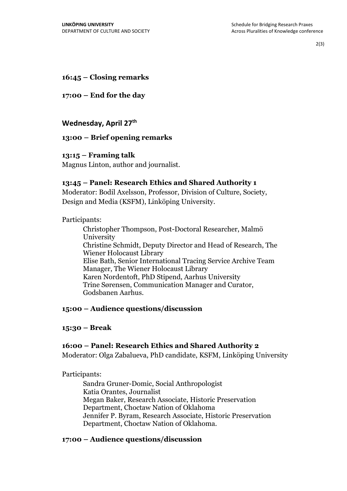2(3)

# **16:45 – Closing remarks**

# **17:00 – End for the day**

# **Wednesday, April 27th**

# **13:00 – Brief opening remarks**

# **13:15 – Framing talk**

Magnus Linton, author and journalist.

# **13:45 – Panel: Research Ethics and Shared Authority 1**

Moderator: Bodil Axelsson, Professor, Division of Culture, Society, Design and Media (KSFM), Linköping University.

# Participants:

Christopher Thompson, Post-Doctoral Researcher, Malmö University Christine Schmidt, Deputy Director and Head of Research, The Wiener Holocaust Library Elise Bath, Senior International Tracing Service Archive Team Manager, The Wiener Holocaust Library Karen Nordentoft, PhD Stipend, Aarhus University Trine Sørensen, Communication Manager and Curator, Godsbanen Aarhus.

#### **15:00 – Audience questions/discussion**

# **15:30 – Break**

# **16:00 – Panel: Research Ethics and Shared Authority 2**

Moderator: Olga Zabalueva, PhD candidate, KSFM, Linköping University

#### Participants:

Sandra Gruner-Domic, Social Anthropologist Katia Orantes, Journalist Megan Baker, Research Associate, Historic Preservation Department, Choctaw Nation of Oklahoma Jennifer P. Byram, Research Associate, Historic Preservation Department, Choctaw Nation of Oklahoma.

# **17:00 – Audience questions/discussion**